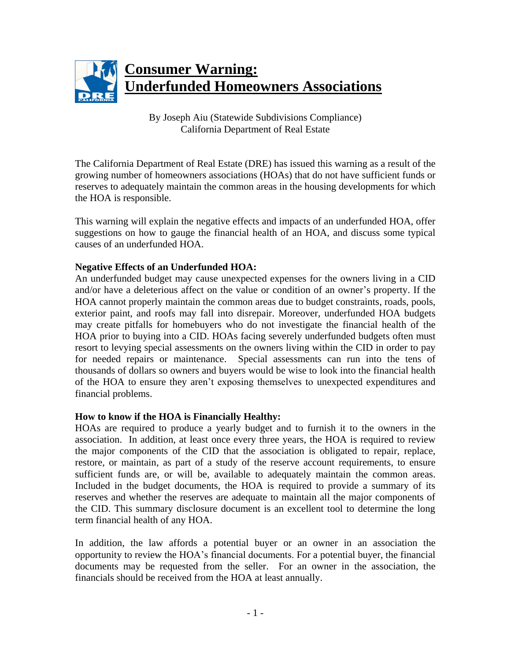

By Joseph Aiu (Statewide Subdivisions Compliance) California Department of Real Estate

The California Department of Real Estate (DRE) has issued this warning as a result of the growing number of homeowners associations (HOAs) that do not have sufficient funds or reserves to adequately maintain the common areas in the housing developments for which the HOA is responsible.

This warning will explain the negative effects and impacts of an underfunded HOA, offer suggestions on how to gauge the financial health of an HOA, and discuss some typical causes of an underfunded HOA.

#### **Negative Effects of an Underfunded HOA:**

An underfunded budget may cause unexpected expenses for the owners living in a CID and/or have a deleterious affect on the value or condition of an owner's property. If the HOA cannot properly maintain the common areas due to budget constraints, roads, pools, exterior paint, and roofs may fall into disrepair. Moreover, underfunded HOA budgets may create pitfalls for homebuyers who do not investigate the financial health of the HOA prior to buying into a CID. HOAs facing severely underfunded budgets often must resort to levying special assessments on the owners living within the CID in order to pay for needed repairs or maintenance. Special assessments can run into the tens of thousands of dollars so owners and buyers would be wise to look into the financial health of the HOA to ensure they aren't exposing themselves to unexpected expenditures and financial problems.

#### **How to know if the HOA is Financially Healthy:**

HOAs are required to produce a yearly budget and to furnish it to the owners in the association. In addition, at least once every three years, the HOA is required to review the major components of the CID that the association is obligated to repair, replace, restore, or maintain, as part of a study of the reserve account requirements, to ensure sufficient funds are, or will be, available to adequately maintain the common areas. Included in the budget documents, the HOA is required to provide a summary of its reserves and whether the reserves are adequate to maintain all the major components of the CID. This summary disclosure document is an excellent tool to determine the long term financial health of any HOA.

In addition, the law affords a potential buyer or an owner in an association the opportunity to review the HOA's financial documents. For a potential buyer, the financial documents may be requested from the seller. For an owner in the association, the financials should be received from the HOA at least annually.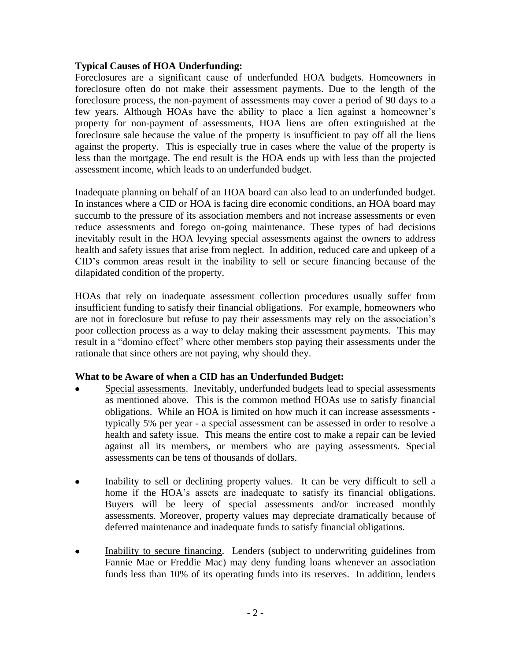#### **Typical Causes of HOA Underfunding:**

Foreclosures are a significant cause of underfunded HOA budgets. Homeowners in foreclosure often do not make their assessment payments. Due to the length of the foreclosure process, the non-payment of assessments may cover a period of 90 days to a few years. Although HOAs have the ability to place a lien against a homeowner's property for non-payment of assessments, HOA liens are often extinguished at the foreclosure sale because the value of the property is insufficient to pay off all the liens against the property. This is especially true in cases where the value of the property is less than the mortgage. The end result is the HOA ends up with less than the projected assessment income, which leads to an underfunded budget.

Inadequate planning on behalf of an HOA board can also lead to an underfunded budget. In instances where a CID or HOA is facing dire economic conditions, an HOA board may succumb to the pressure of its association members and not increase assessments or even reduce assessments and forego on-going maintenance. These types of bad decisions inevitably result in the HOA levying special assessments against the owners to address health and safety issues that arise from neglect. In addition, reduced care and upkeep of a CID's common areas result in the inability to sell or secure financing because of the dilapidated condition of the property.

HOAs that rely on inadequate assessment collection procedures usually suffer from insufficient funding to satisfy their financial obligations. For example, homeowners who are not in foreclosure but refuse to pay their assessments may rely on the association's poor collection process as a way to delay making their assessment payments. This may result in a "domino effect" where other members stop paying their assessments under the rationale that since others are not paying, why should they.

## **What to be Aware of when a CID has an Underfunded Budget:**

- Special assessments. Inevitably, underfunded budgets lead to special assessments as mentioned above. This is the common method HOAs use to satisfy financial obligations. While an HOA is limited on how much it can increase assessments typically 5% per year - a special assessment can be assessed in order to resolve a health and safety issue. This means the entire cost to make a repair can be levied against all its members, or members who are paying assessments. Special assessments can be tens of thousands of dollars.
- Inability to sell or declining property values. It can be very difficult to sell a  $\bullet$ home if the HOA's assets are inadequate to satisfy its financial obligations. Buyers will be leery of special assessments and/or increased monthly assessments. Moreover, property values may depreciate dramatically because of deferred maintenance and inadequate funds to satisfy financial obligations.
- Inability to secure financing. Lenders (subject to underwriting guidelines from  $\bullet$ Fannie Mae or Freddie Mac) may deny funding loans whenever an association funds less than 10% of its operating funds into its reserves. In addition, lenders